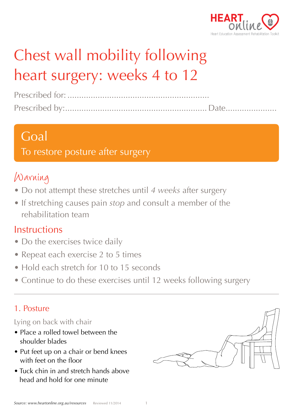

# Chest wall mobility following heart surgery: weeks 4 to 12

## Goal

To restore posture after surgery

# Warning

- Do not attempt these stretches until *4 weeks* after surgery
- If stretching causes pain *stop* and consult a member of the rehabilitation team

## **Instructions**

- Do the exercises twice daily
- Repeat each exercise 2 to 5 times
- Hold each stretch for 10 to 15 seconds
- Continue to do these exercises until 12 weeks following surgery

## 1. Posture

#### Lying on back with chair

- Place a rolled towel between the shoulder blades
- Put feet up on a chair or bend knees with feet on the floor
- Tuck chin in and stretch hands above head and hold for one minute